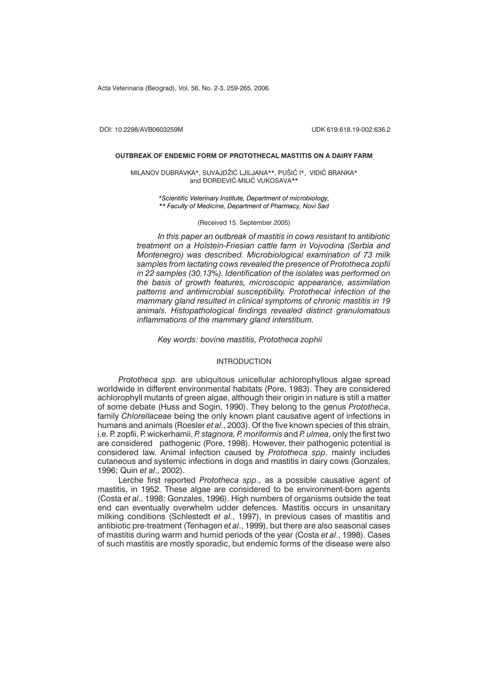Acta Veterinaria (Beograd), Vol. 56, No. 2-3, 259-265, 2006.

DOI: 10.2298/AVB0603259M UDK 619:618.19-002:636.2

#### **OUTBREAK OF ENDEMIC FORM OF PROTOTHECAL MASTITIS ON A DAIRY FARM**

MILANOV DUBRAVKA\*, SUVAJDŽIĆ LJILJANA\*\*, PUŠIĆ I\*, VIDIĆ BRANKA\* and DORDEVIĆ-MILIĆ VUKOSAVA\*\*

> *\*Scientific Veterinary Institute, Department of microbiology, \*\* Faculty of Medicine, Department of Pharmacy, Novi Sad*

> > (Received 15. September 2005)

*In this paper an outbreak of mastitis in cows resistant to antibiotic treatment on a Holstein-Friesian cattle farm in Vojvodina (Serbia and Montenegro) was described. Microbiological examination of 73 milk samples from lactating cows revealed the presence of Prototheca zopfii in 22 samples (30.13%). Identification of the isolates was performed on the basis of growth features, microscopic appearance, assimilation patterns and antimicrobial susceptibility. Protothecal infection of the mammary gland resulted in clinical symptoms of chronic mastitis in 19 animals. Histopathological findings revealed distinct granulomatous inflammations of the mammary gland interstitium.*

*Key words: bovine mastitis, Prototheca zophii*

#### **INTRODUCTION**

*Prototheca spp.* are ubiquitous unicellular achlorophyllous algae spread worldwide in different environmental habitats (Pore, 1983). They are considered achlorophyll mutants of green algae, although their origin in nature is still a matter of some debate (Huss and Sogin, 1990). They belong to the genus *Prototheca*, family *Chlorellaceae* being the only known plant causative agent of infections in humans and animals (Roesler *et al*., 2003). Of the five known species of this strain, i.e. P. zopfii, P. wickerhamii, *P. stagnora, P. moriformis* and *P. ulmea*, only the first two are considered pathogenic (Pore, 1998). However, their pathogenic potential is considered law. Animal infection caused by *Prototheca spp*. mainly includes cutaneous and systemic infections in dogs and mastitis in dairy cows (Gonzales, 1996; Quin *et al*., 2002).

Lerche first reported *Prototheca spp*., as a possible causative agent of mastitis, in 1952. These algae are considered to be environment-born agents (Costa *et al*., 1998; Gonzales, 1996). High numbers of organisms outside the teat end can eventually overwhelm udder defences. Mastitis occurs in unsanitary milking conditions (Schlestedt *et al*., 1997), in previous cases of mastitis and antibiotic pre-treatment (Tenhagen *et al*., 1999), but there are also seasonal cases of mastitis during warm and humid periods of the year (Costa *et al*., 1998). Cases of such mastitis are mostly sporadic, but endemic forms of the disease were also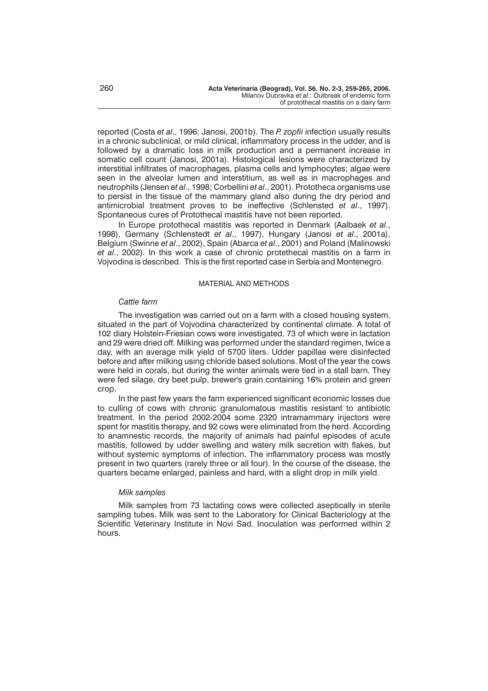reported (Costa *et al*., 1996; Janosi, 2001b). The *P. zopfii* infection usually results in a chronic subclinical, or mild clinical, inflammatory process in the udder, and is followed by a dramatic loss in milk production and a permanent increase in somatic cell count (Janosi, 2001a). Histological lesions were characterized by interstitial infiltrates of macrophages, plasma cells and lymphocytes; algae were seen in the alveolar lumen and interstitium, as well as in macrophages and neutrophils (Jensen *et al*., 1998; Corbellini *et al*., 2001). Prototheca organisms use to persist in the tissue of the mammary gland also during the dry period and antimicrobial treatment proves to be ineffective (Schlensted *et al*., 1997). Spontaneous cures of Protothecal mastitis have not been reported.

In Europe protothecal mastitis was reported in Denmark (Aalbaek *et al*., 1998), Germany (Schlenstedt *et al*., 1997), Hungary (Janosi *et al*., 2001a), Belgium (Swinne *et al*., 2002), Spain (Abarca *et al*., 2001) and Poland (Malinowski *et al*., 2002). In this work a case of chronic protethecal mastitis on a farm in Vojvodina is described. This is the first reported case in Serbia and Montenegro.

### MATERIAL AND METHODS

## *Cattle farm*

The investigation was carried out on a farm with a closed housing system, situated in the part of Vojvodina characterized by continental climate. A total of 102 diary Holstein-Friesian cows were investigated, 73 of which were in lactation and 29 were dried off. Milking was performed under the standard regimen, twice a day, with an average milk yield of 5700 liters. Udder papillae were disinfected before and after milking using chloride based solutions. Most of the year the cows were held in corals, but during the winter animals were tied in a stall barn. They were fed silage, dry beet pulp, brewer's grain containing 16% protein and green crop.

In the past few years the farm experienced significant economic losses due to culling of cows with chronic granulomatous mastitis resistant to antibiotic treatment. In the period 2002-2004 some 2320 intramammary injectors were spent for mastitis therapy, and 92 cows were eliminated from the herd. According to anamnestic records, the majority of animals had painful episodes of acute mastitis, followed by udder swelling and watery milk secretion with flakes, but without systemic symptoms of infection. The inflammatory process was mostly present in two quarters (rarely three or all four). In the course of the disease, the quarters became enlarged, painless and hard, with a slight drop in milk yield.

### *Milk samples*

Milk samples from 73 lactating cows were collected aseptically in sterile sampling tubes. Milk was sent to the Laboratory for Clinical Bacteriology at the Scientific Veterinary Institute in Novi Sad. Inoculation was performed within 2 hours.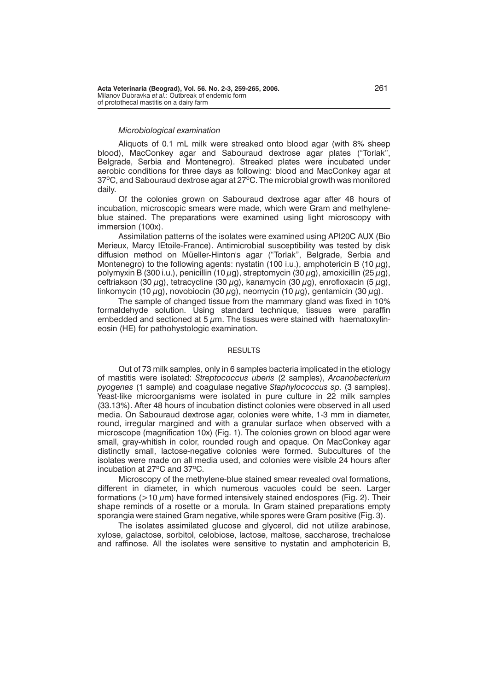### *Microbiological examination*

Aliquots of 0.1 mL milk were streaked onto blood agar (with 8% sheep blood), MacConkey agar and Sabouraud dextrose agar plates ("Torlak", Belgrade, Serbia and Montenegro). Streaked plates were incubated under aerobic conditions for three days as following: blood and MacConkey agar at 37°C, and Sabouraud dextrose agar at 27°C. The microbial growth was monitored daily.

Of the colonies grown on Sabouraud dextrose agar after 48 hours of incubation, microscopic smears were made, which were Gram and methyleneblue stained. The preparations were examined using light microscopy with immersion (100x).

Assimilation patterns of the isolates were examined using API20C AUX (Bio Merieux, Marcy IEtoile-France). Antimicrobial susceptibility was tested by disk diffusion method on Müeller-Hinton's agar ("Torlak", Belgrade, Serbia and Montenegro) to the following agents: nystatin (100 i.u.), amphotericin B (10  $\mu$ g), polymyxin B (300 i.u.), penicillin (10  $\mu$ g), streptomycin (30  $\mu$ g), amoxicillin (25  $\mu$ g), ceftriakson (30  $\mu$ g), tetracycline (30  $\mu$ g), kanamycin (30  $\mu$ g), enrofloxacin (5  $\mu$ g), linkomycin (10  $\mu$ g), novobiocin (30  $\mu$ g), neomycin (10  $\mu$ g), gentamicin (30  $\mu$ g).

The sample of changed tissue from the mammary gland was fixed in 10% formaldehyde solution. Using standard technique, tissues were paraffin embedded and sectioned at 5  $\mu$ m. The tissues were stained with haematoxylineosin (HE) for pathohystologic examination.

#### **RESULTS**

Out of 73 milk samples, only in 6 samples bacteria implicated in the etiology of mastitis were isolated: *Streptococcus uberis* (2 samples), *Arcanobacterium pyogenes* (1 sample) and coagulase negative *Staphylococcus sp.* (3 samples). Yeast-like microorganisms were isolated in pure culture in 22 milk samples (33.13%). After 48 hours of incubation distinct colonies were observed in all used media. On Sabouraud dextrose agar, colonies were white, 1-3 mm in diameter, round, irregular margined and with a granular surface when observed with a microscope (magnification 10x) (Fig. 1). The colonies grown on blood agar were small, gray-whitish in color, rounded rough and opaque. On MacConkey agar distinctly small, lactose-negative colonies were formed. Subcultures of the isolates were made on all media used, and colonies were visible 24 hours after incubation at  $27^{\circ}$ C and  $37^{\circ}$ C.

Microscopy of the methylene-blue stained smear revealed oval formations, different in diameter, in which numerous vacuoles could be seen. Larger formations ( $>10 \mu$ m) have formed intensively stained endospores (Fig. 2). Their shape reminds of a rosette or a morula. In Gram stained preparations empty sporangia were stained Gram negative, while spores were Gram positive (Fig. 3).

The isolates assimilated glucose and glycerol, did not utilize arabinose, xylose, galactose, sorbitol, celobiose, lactose, maltose, saccharose, trechalose and raffinose. All the isolates were sensitive to nystatin and amphotericin B,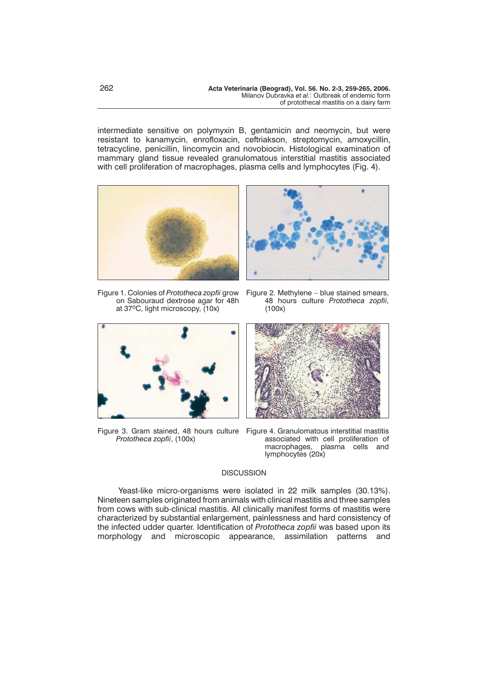intermediate sensitive on polymyxin B, gentamicin and neomycin, but were resistant to kanamycin, enrofloxacin, ceftriakson, streptomycin, amoxycillin, tetracycline, penicillin, lincomycin and novobiocin. Histological examination of mammary gland tissue revealed granulomatous interstitial mastitis associated with cell proliferation of macrophages, plasma cells and lymphocytes (Fig. 4).





Figure 1. Colonies of *Prototheca zopfii* grow on Sabouraud dextrose agar for 48h at 37oC, light microscopy, (10x)



Figure 3. Gram stained, 48 hours culture Figure 4. Granulomatous interstitial mastitis *Prototheca zopfii*, (100x)

Figure 2. Methylene – blue stained smears, 48 hours culture *Prototheca zopfii*, (100x)



associated with cell proliferation of macrophages, plasma cells and lymphocytes (20x)

# **DISCUSSION**

Yeast-like micro-organisms were isolated in 22 milk samples (30.13%). Nineteen samples originated from animals with clinical mastitis and three samples from cows with sub-clinical mastitis. All clinically manifest forms of mastitis were characterized by substantial enlargement, painlessness and hard consistency of the infected udder quarter. Identification of *Prototheca zopfii* was based upon its morphology and microscopic appearance, assimilation patterns and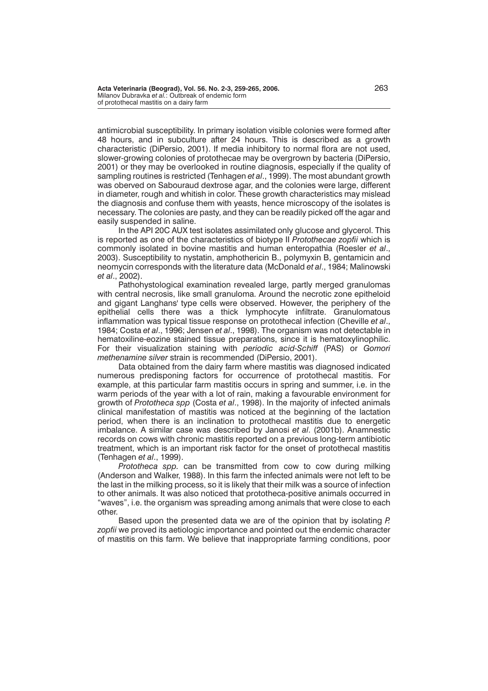antimicrobial susceptibility. In primary isolation visible colonies were formed after 48 hours, and in subculture after 24 hours. This is described as a growth characteristic (DiPersio, 2001). If media inhibitory to normal flora are not used, slower-growing colonies of protothecae may be overgrown by bacteria (DiPersio, 2001) or they may be overlooked in routine diagnosis, especially if the quality of sampling routines is restricted (Tenhagen *et al*., 1999). The most abundant growth was oberved on Sabouraud dextrose agar, and the colonies were large, different in diameter, rough and whitish in color. These growth characteristics may mislead the diagnosis and confuse them with yeasts, hence microscopy of the isolates is necessary. The colonies are pasty, and they can be readily picked off the agar and easily suspended in saline.

In the API 20C AUX test isolates assimilated only glucose and glycerol. This is reported as one of the characteristics of biotype II *Protothecae zopfii* which is commonly isolated in bovine mastitis and human enteropathia (Roesler *et al*., 2003). Susceptibility to nystatin, amphothericin B., polymyxin B, gentamicin and neomycin corresponds with the literature data (McDonald *et al*., 1984; Malinowski *et al*., 2002).

Pathohystological examination revealed large, partly merged granulomas with central necrosis, like small granuloma. Around the necrotic zone epitheloid and gigant Langhans' type cells were observed. However, the periphery of the epithelial cells there was a thick lymphocyte infiltrate. Granulomatous inflammation was typical tissue response on protothecal infection (Cheville *et al*., 1984; Costa *et al*., 1996; Jensen *et al*., 1998). The organism was not detectable in hematoxiline-eozine stained tissue preparations, since it is hematoxylinophilic. For their visualization staining with *periodic acid-Schiff* (PAS) or *Gomori methenamine silver* strain is recommended (DiPersio, 2001).

Data obtained from the dairy farm where mastitis was diagnosed indicated numerous predisponing factors for occurrence of protothecal mastitis. For example, at this particular farm mastitis occurs in spring and summer, i.e. in the warm periods of the year with a lot of rain, making a favourable environment for growth of *Prototheca spp* (Costa *et al*., 1998). In the majority of infected animals clinical manifestation of mastitis was noticed at the beginning of the lactation period, when there is an inclination to protothecal mastitis due to energetic imbalance. A similar case was described by Janosi *et al*. (2001b). Anamnestic records on cows with chronic mastitis reported on a previous long-term antibiotic treatment, which is an important risk factor for the onset of protothecal mastitis (Tenhagen *et al*., 1999).

*Prototheca spp.* can be transmitted from cow to cow during milking (Anderson and Walker, 1988). In this farm the infected animals were not left to be the last in the milking process, so it is likely that their milk was a source of infection to other animals. It was also noticed that prototheca-positive animals occurred in "waves", i.e. the organism was spreading among animals that were close to each other.

Based upon the presented data we are of the opinion that by isolating *P. zopfii* we proved its aetiologic importance and pointed out the endemic character of mastitis on this farm. We believe that inappropriate farming conditions, poor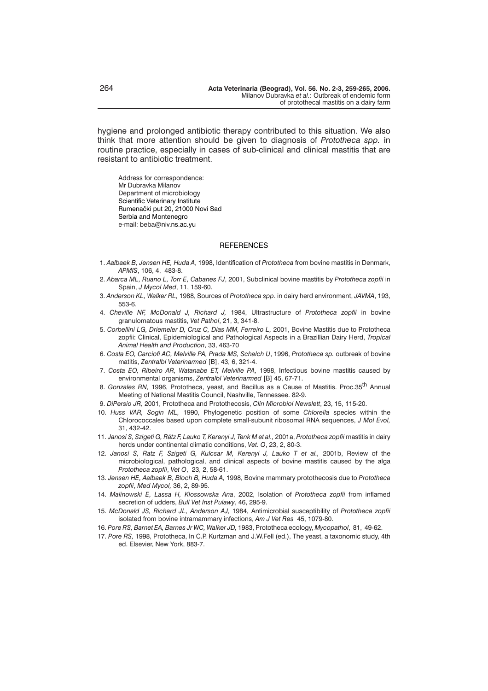hygiene and prolonged antibiotic therapy contributed to this situation. We also think that more attention should be given to diagnosis of *Prototheca spp.* in routine practice, especially in cases of sub-clinical and clinical mastitis that are resistant to antibiotic treatment.

Address for correspondence: Mr Dubravka Milanov Department of microbiology Scientific Veterinary Institute Rumenački put 20, 21000 Novi Sad Serbia and Montenegro e-mail: beba@niv.ns.ac.yu

#### **REFERENCES**

- 1. *Aalbaek B, Jensen HE, Huda A*, 1998, Identification of *Prototheca* from bovine mastitis in Denmark, *APMIS*, 106, 4, 483-8.
- 2. *Abarca ML, Ruano L, Torr E, Cabanes FJ*, 2001, Subclinical bovine mastitis by *Prototheca zopfii* in Spain, *J Mycol Med*, 11, 159-60.
- 3. *Anderson KL, Walker RL,* 1988, Sources of *Prototheca spp*. in dairy herd environment, *JAVMA*, 193, 553-6.
- 4. *Cheville NF, McDonald J, Richard J,* 1984, Ultrastructure of *Prototheca zopfii* in bovine granulomatous mastitis, *Vet Pathol*, 21, 3, 341-8.
- 5. *Corbellini LG, Driemeler D, Cruz C, Dias MM, Ferreiro L,* 2001, Bovine Mastitis due to Prototheca zopfii: Clinical, Epidemiological and Pathological Aspects in a Brazillian Dairy Herd, *Tropical Animal Health and Production*, 33, 463-70
- 6. *Costa EO, Carciofi AC, Melville PA, Prada MS, Schalch U*, 1996, *Prototheca sp.* outbreak of bovine matitis, Zentralbl Veterinarmed [B], 43, 6, 321-4.
- 7. *Costa EO, Ribeiro AR, Watanabe ET, Melville PA,* 1998, Infectious bovine mastitis caused by environmental organisms, Zentralbl Veterinarmed [B] 45, 67-71.
- 8. *Gonzales RN,* 1996, Prototheca, yeast, and Bacillus as a Cause of Mastitis. Proc.35th Annual Meeting of National Mastitis Council, Nashville, Tennessee. 82-9.
- 9. *DiPersio JR,* 2001, Prototheca and Protothecosis, *Clin Microbiol Newslett*, 23, 15, 115-20.
- 10. *Huss VAR, Sogin ML,* 1990, Phylogenetic position of some *Chlorella* species within the Chlorococcales based upon complete small-subunit ribosomal RNA sequences, *J Mol Evol,* 31, 432-42.
- 11. *Janosi S, Szigeti G, Rátz F, Lauko T, Kerenyi J, Tenk M et al.,* 2001a, *Prototheca zopfii* mastitis in dairy herds under continental climatic conditions, *Vet. Q*, 23, 2, 80-3.
- 12. *Janosi S, Ratz F, Szigeti G, Kulcsar M, Kerenyi J, Lauko T et al.,* 2001b, Review of the microbiological, pathological, and clinical aspects of bovine mastitis caused by the alga *Prototheca zopfii*, *Vet Q*, 23, 2, 58-61.
- 13. *Jensen HE, Aalbaek B, Bloch B, Huda A,* 1998, Bovine mammary protothecosis due to *Prototheca zopfii*, *Med Mycol,* 36, 2, 89-95.
- 14. *Malinowski E, Lassa H, Klossowska Ana*, 2002, Isolation of *Prototheca zopfii* from inflamed secretion of udders, *Bull Vet Inst Pulawy*, 46, 295-9.
- 15. *McDonald JS, Richard JL, Anderson AJ,* 1984, Antimicrobial susceptibility of *Prototheca zopfii* isolated from bovine intramammary infections, *Am J Vet Res* 45, 1079-80.
- 16. *Pore RS, Barnet EA, Barnes Jr WC, Walker JD,* 1983, Prototheca ecology, *Mycopathol*, 81, 49-62.
- 17. *Pore RS,* 1998, Prototheca, In C.P. Kurtzman and J.W.Fell (ed.), The yeast, a taxonomic study, 4th ed. Elsevier, New York, 883-7.